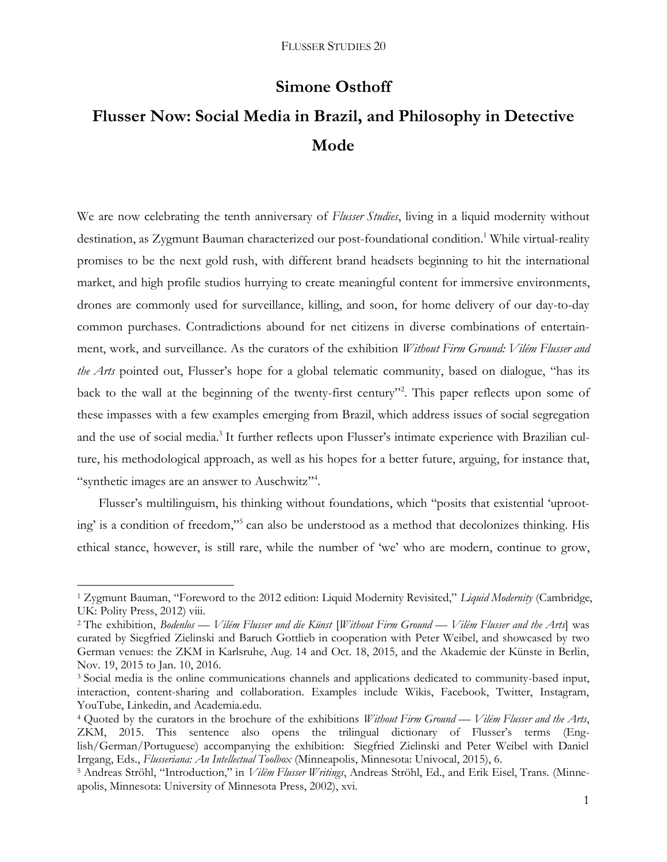## **Simone Osthoff**

# **Flusser Now: Social Media in Brazil, and Philosophy in Detective Mode**

We are now celebrating the tenth anniversary of *Flusser Studies*, living in a liquid modernity without destination, as Zygmunt Bauman characterized our post-foundational condition.<sup>1</sup> While virtual-reality promises to be the next gold rush, with different brand headsets beginning to hit the international market, and high profile studios hurrying to create meaningful content for immersive environments, drones are commonly used for surveillance, killing, and soon, for home delivery of our day-to-day common purchases. Contradictions abound for net citizens in diverse combinations of entertainment, work, and surveillance. As the curators of the exhibition *Without Firm Ground: Vilém Flusser and the Arts* pointed out, Flusser's hope for a global telematic community, based on dialogue, "has its back to the wall at the beginning of the twenty-first century"<sup>2</sup>. This paper reflects upon some of these impasses with a few examples emerging from Brazil, which address issues of social segregation and the use of social media.<sup>3</sup> It further reflects upon Flusser's intimate experience with Brazilian culture, his methodological approach, as well as his hopes for a better future, arguing, for instance that, "synthetic images are an answer to Auschwitz"<sup>4</sup>.

Flusser's multilinguism, his thinking without foundations, which "posits that existential 'uprooting' is a condition of freedom," 5 can also be understood as a method that decolonizes thinking. His ethical stance, however, is still rare, while the number of 'we' who are modern, continue to grow,

<sup>1</sup> Zygmunt Bauman, "Foreword to the 2012 edition: Liquid Modernity Revisited," *Liquid Modernity* (Cambridge, UK: Polity Press, 2012) viii.

<sup>2</sup> The exhibition, *Bodenlos — Vilém Flusser und die Künst* [*Without Firm Ground — Vilém Flusser and the Arts*] was curated by Siegfried Zielinski and Baruch Gottlieb in cooperation with Peter Weibel, and showcased by two German venues: the ZKM in Karlsruhe, Aug. 14 and Oct. 18, 2015, and the Akademie der Künste in Berlin, Nov. 19, 2015 to Jan. 10, 2016.

<sup>3</sup> Social media is the online communications channels and applications dedicated to community-based input, interaction, content-sharing and collaboration. Examples include Wikis, Facebook, Twitter, Instagram, YouTube, Linkedin, and Academia.edu.

<sup>4</sup> Quoted by the curators in the brochure of the exhibitions *Without Firm Ground — Vilém Flusser and the Arts*, ZKM, 2015. This sentence also opens the trilingual dictionary of Flusser's terms (English/German/Portuguese) accompanying the exhibition: Siegfried Zielinski and Peter Weibel with Daniel Irrgang, Eds., *Flusseriana: An Intellectual Toolbox* (Minneapolis, Minnesota: Univocal, 2015), 6.

<sup>5</sup> Andreas Ströhl, "Introduction," in *Vilém Flusser Writings*, Andreas Ströhl, Ed., and Erik Eisel, Trans. (Minneapolis, Minnesota: University of Minnesota Press, 2002), xvi.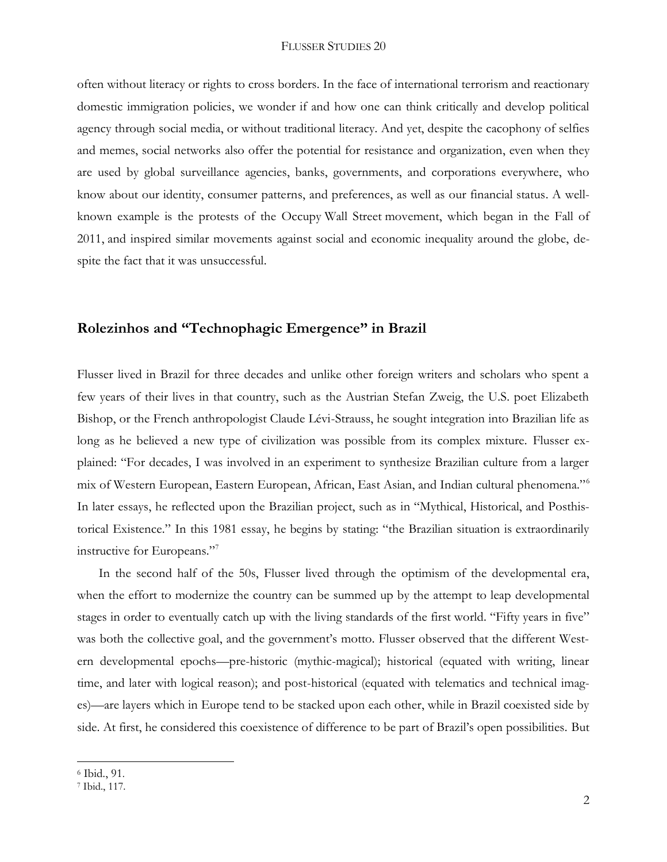often without literacy or rights to cross borders. In the face of international terrorism and reactionary domestic immigration policies, we wonder if and how one can think critically and develop political agency through social media, or without traditional literacy. And yet, despite the cacophony of selfies and memes, social networks also offer the potential for resistance and organization, even when they are used by global surveillance agencies, banks, governments, and corporations everywhere, who know about our identity, consumer patterns, and preferences, as well as our financial status. A wellknown example is the protests of the Occupy Wall Street movement, which began in the Fall of 2011, and inspired similar movements against social and economic inequality around the globe, despite the fact that it was unsuccessful.

## **Rolezinhos and "Technophagic Emergence" in Brazil**

Flusser lived in Brazil for three decades and unlike other foreign writers and scholars who spent a few years of their lives in that country, such as the Austrian Stefan Zweig, the U.S. poet Elizabeth Bishop, or the French anthropologist Claude Lévi-Strauss, he sought integration into Brazilian life as long as he believed a new type of civilization was possible from its complex mixture. Flusser explained: "For decades, I was involved in an experiment to synthesize Brazilian culture from a larger mix of Western European, Eastern European, African, East Asian, and Indian cultural phenomena."<sup>6</sup> In later essays, he reflected upon the Brazilian project, such as in "Mythical, Historical, and Posthistorical Existence." In this 1981 essay, he begins by stating: "the Brazilian situation is extraordinarily instructive for Europeans."<sup>7</sup>

In the second half of the 50s, Flusser lived through the optimism of the developmental era, when the effort to modernize the country can be summed up by the attempt to leap developmental stages in order to eventually catch up with the living standards of the first world. "Fifty years in five" was both the collective goal, and the government's motto. Flusser observed that the different Western developmental epochs—pre-historic (mythic-magical); historical (equated with writing, linear time, and later with logical reason); and post-historical (equated with telematics and technical images)—are layers which in Europe tend to be stacked upon each other, while in Brazil coexisted side by side. At first, he considered this coexistence of difference to be part of Brazil's open possibilities. But

 $\overline{a}$ <sup>6</sup> Ibid*.*, 91.

<sup>7</sup> Ibid., 117.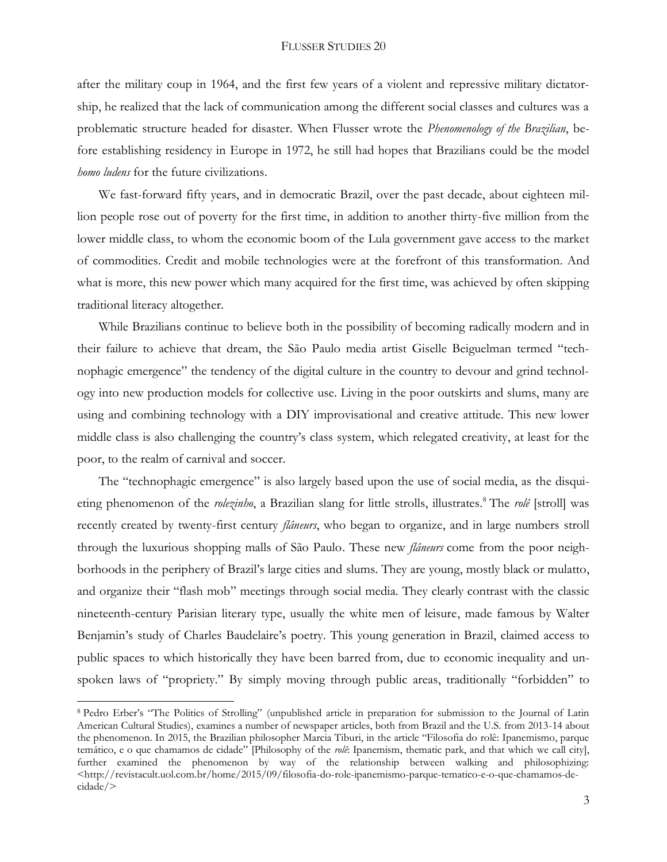#### FLUSSER STUDIES 20

after the military coup in 1964, and the first few years of a violent and repressive military dictatorship, he realized that the lack of communication among the different social classes and cultures was a problematic structure headed for disaster. When Flusser wrote the *Phenomenology of the Brazilian*, before establishing residency in Europe in 1972, he still had hopes that Brazilians could be the model *homo ludens* for the future civilizations.

We fast-forward fifty years, and in democratic Brazil, over the past decade, about eighteen million people rose out of poverty for the first time, in addition to another thirty-five million from the lower middle class, to whom the economic boom of the Lula government gave access to the market of commodities. Credit and mobile technologies were at the forefront of this transformation. And what is more, this new power which many acquired for the first time, was achieved by often skipping traditional literacy altogether.

While Brazilians continue to believe both in the possibility of becoming radically modern and in their failure to achieve that dream, the São Paulo media artist Giselle Beiguelman termed "technophagic emergence" the tendency of the digital culture in the country to devour and grind technology into new production models for collective use. Living in the poor outskirts and slums, many are using and combining technology with a DIY improvisational and creative attitude. This new lower middle class is also challenging the country's class system, which relegated creativity, at least for the poor, to the realm of carnival and soccer.

The "technophagic emergence" is also largely based upon the use of social media, as the disquieting phenomenon of the *rolezinho*, a Brazilian slang for little strolls, illustrates. <sup>8</sup> The *rolê* [stroll] was recently created by twenty-first century *flâneurs*, who began to organize, and in large numbers stroll through the luxurious shopping malls of São Paulo. These new *flâneurs* come from the poor neighborhoods in the periphery of Brazil's large cities and slums. They are young, mostly black or mulatto, and organize their "flash mob" meetings through social media. They clearly contrast with the classic nineteenth-century Parisian literary type, usually the white men of leisure, made famous by Walter Benjamin's study of Charles Baudelaire's poetry. This young generation in Brazil, claimed access to public spaces to which historically they have been barred from, due to economic inequality and unspoken laws of "propriety." By simply moving through public areas, traditionally "forbidden" to

<sup>8</sup> Pedro Erber's "The Politics of Strolling" (unpublished article in preparation for submission to the Journal of Latin American Cultural Studies), examines a number of newspaper articles, both from Brazil and the U.S. from 2013-14 about the phenomenon. In 2015, the Brazilian philosopher Marcia Tiburi, in the article "Filosofia do rolê: Ipanemismo, parque temático, e o que chamamos de cidade" [Philosophy of the *rolê*: Ipanemism, thematic park, and that which we call city], further examined the phenomenon by way of the relationship between walking and philosophizing: <http://revistacult.uol.com.br/home/2015/09/filosofia-do-role-ipanemismo-parque-tematico-e-o-que-chamamos-decidade/>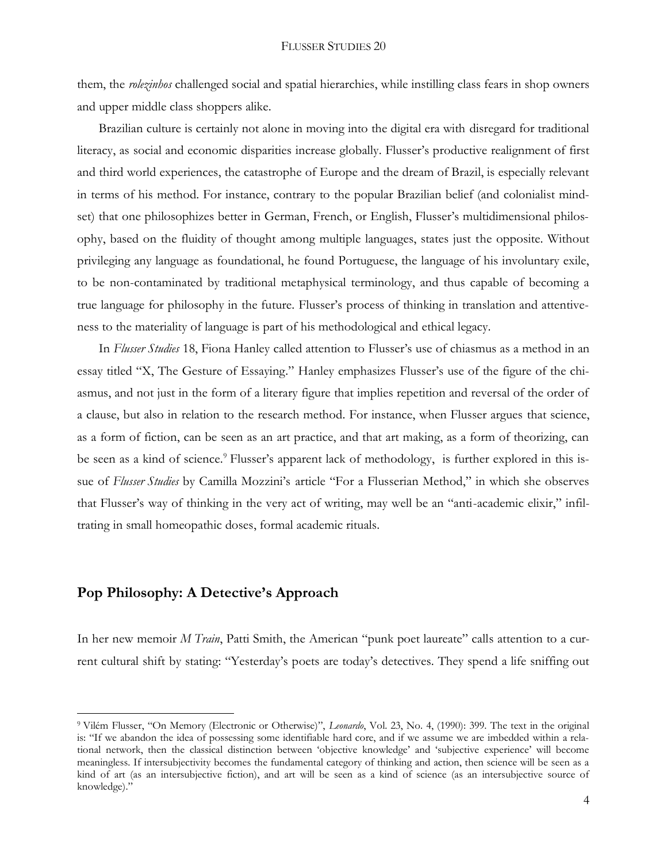them, the *rolezinhos* challenged social and spatial hierarchies, while instilling class fears in shop owners and upper middle class shoppers alike.

Brazilian culture is certainly not alone in moving into the digital era with disregard for traditional literacy, as social and economic disparities increase globally. Flusser's productive realignment of first and third world experiences, the catastrophe of Europe and the dream of Brazil, is especially relevant in terms of his method. For instance, contrary to the popular Brazilian belief (and colonialist mindset) that one philosophizes better in German, French, or English, Flusser's multidimensional philosophy, based on the fluidity of thought among multiple languages, states just the opposite. Without privileging any language as foundational, he found Portuguese, the language of his involuntary exile, to be non-contaminated by traditional metaphysical terminology, and thus capable of becoming a true language for philosophy in the future. Flusser's process of thinking in translation and attentiveness to the materiality of language is part of his methodological and ethical legacy.

In *Flusser Studies* 18, Fiona Hanley called attention to Flusser's use of chiasmus as a method in an essay titled "X, The Gesture of Essaying." Hanley emphasizes Flusser's use of the figure of the chiasmus, and not just in the form of a literary figure that implies repetition and reversal of the order of a clause, but also in relation to the research method. For instance, when Flusser argues that science, as a form of fiction, can be seen as an art practice, and that art making, as a form of theorizing, can be seen as a kind of science.<sup>9</sup> Flusser's apparent lack of methodology, is further explored in this issue of *Flusser Studies* by Camilla Mozzini's article "For a Flusserian Method," in which she observes that Flusser's way of thinking in the very act of writing, may well be an "anti-academic elixir," infiltrating in small homeopathic doses, formal academic rituals.

## **Pop Philosophy: A Detective's Approach**

 $\overline{a}$ 

In her new memoir *M Train*, Patti Smith, the American "punk poet laureate" calls attention to a current cultural shift by stating: "Yesterday's poets are today's detectives. They spend a life sniffing out

<sup>9</sup> Vilém Flusser, "On Memory (Electronic or Otherwise)", *Leonardo*, Vol. 23, No. 4, (1990): 399. The text in the original is: "If we abandon the idea of possessing some identifiable hard core, and if we assume we are imbedded within a relational network, then the classical distinction between 'objective knowledge' and 'subjective experience' will become meaningless. If intersubjectivity becomes the fundamental category of thinking and action, then science will be seen as a kind of art (as an intersubjective fiction), and art will be seen as a kind of science (as an intersubjective source of knowledge)."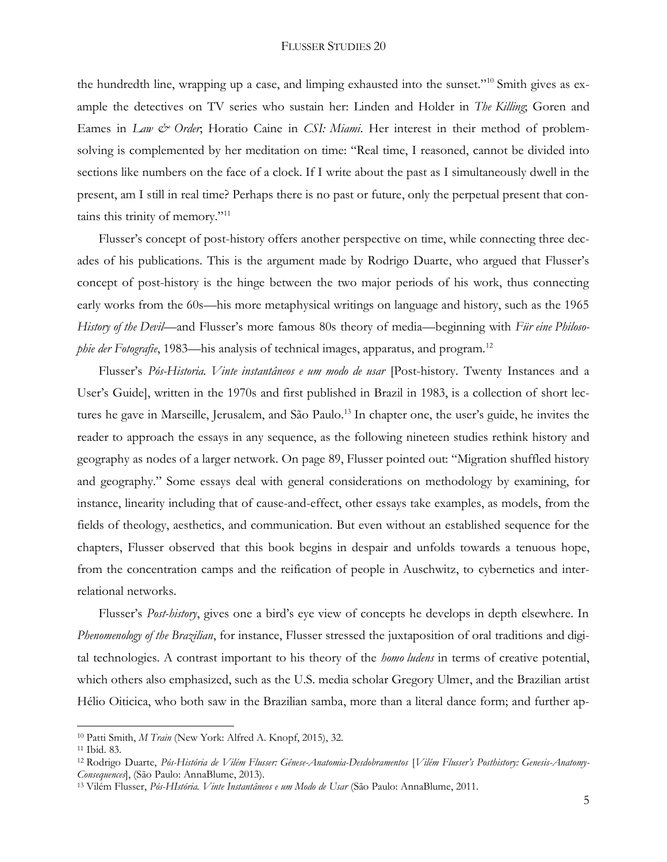#### FLUSSER STUDIES 20

the hundredth line, wrapping up a case, and limping exhausted into the sunset."<sup>10</sup> Smith gives as example the detectives on TV series who sustain her: Linden and Holder in *The Killing*; Goren and Eames in *Law & Order*; Horatio Caine in *CSI: Miami*. Her interest in their method of problemsolving is complemented by her meditation on time: "Real time, I reasoned, cannot be divided into sections like numbers on the face of a clock. If I write about the past as I simultaneously dwell in the present, am I still in real time? Perhaps there is no past or future, only the perpetual present that contains this trinity of memory."<sup>11</sup>

Flusser's concept of post-history offers another perspective on time, while connecting three decades of his publications. This is the argument made by Rodrigo Duarte, who argued that Flusser's concept of post-history is the hinge between the two major periods of his work, thus connecting early works from the 60s—his more metaphysical writings on language and history, such as the 1965 *History of the Devil*—and Flusser's more famous 80s theory of media—beginning with *Für eine Philosophie der Fotografie*, 1983—his analysis of technical images, apparatus, and program.<sup>12</sup>

Flusser's *Pós-Historia. Vinte instantâneos e um modo de usar* [Post-history. Twenty Instances and a User's Guide], written in the 1970s and first published in Brazil in 1983, is a collection of short lectures he gave in Marseille, Jerusalem, and São Paulo.<sup>13</sup> In chapter one, the user's guide, he invites the reader to approach the essays in any sequence, as the following nineteen studies rethink history and geography as nodes of a larger network. On page 89, Flusser pointed out: "Migration shuffled history and geography." Some essays deal with general considerations on methodology by examining, for instance, linearity including that of cause-and-effect, other essays take examples, as models, from the fields of theology, aesthetics, and communication. But even without an established sequence for the chapters, Flusser observed that this book begins in despair and unfolds towards a tenuous hope, from the concentration camps and the reification of people in Auschwitz, to cybernetics and interrelational networks.

Flusser's *Post-history*, gives one a bird's eye view of concepts he develops in depth elsewhere. In *Phenomenology of the Brazilian*, for instance, Flusser stressed the juxtaposition of oral traditions and digital technologies. A contrast important to his theory of the *homo ludens* in terms of creative potential, which others also emphasized, such as the U.S. media scholar Gregory Ulmer, and the Brazilian artist Hélio Oiticica, who both saw in the Brazilian samba, more than a literal dance form; and further ap-

 $\overline{a}$ 

<sup>10</sup> Patti Smith, *M Train* (New York: Alfred A. Knopf, 2015), 32.

<sup>11</sup> Ibid. 83.

<sup>12</sup> Rodrigo Duarte, *Pós-História de Vilém Flusser: Gênese-Anatomia-Desdobramentos* [*Vilém Flusser's Posthistory: Genesis-Anatomy-Consequences*], (São Paulo: AnnaBlume, 2013).

<sup>13</sup> Vilém Flusser, *Pós-HIstória. Vinte Instantâneos e um Modo de Usar* (São Paulo: AnnaBlume, 2011.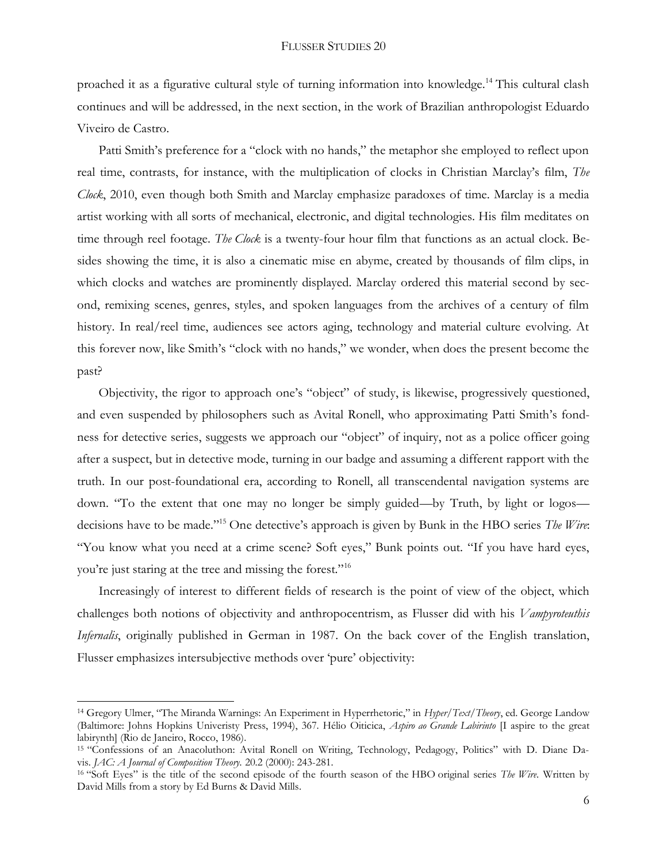proached it as a figurative cultural style of turning information into knowledge.<sup>14</sup> This cultural clash continues and will be addressed, in the next section, in the work of Brazilian anthropologist Eduardo Viveiro de Castro.

Patti Smith's preference for a "clock with no hands," the metaphor she employed to reflect upon real time, contrasts, for instance, with the multiplication of clocks in Christian Marclay's film, *The Clock*, 2010, even though both Smith and Marclay emphasize paradoxes of time. Marclay is a media artist working with all sorts of mechanical, electronic, and digital technologies. His film meditates on time through reel footage. *The Clock* is a twenty-four hour film that functions as an actual clock. Besides showing the time, it is also a cinematic mise en abyme, created by thousands of film clips, in which clocks and watches are prominently displayed. Marclay ordered this material second by second, remixing scenes, genres, styles, and spoken languages from the archives of a century of film history. In real/reel time, audiences see actors aging, technology and material culture evolving. At this forever now, like Smith's "clock with no hands," we wonder, when does the present become the past?

Objectivity, the rigor to approach one's "object" of study, is likewise, progressively questioned, and even suspended by philosophers such as Avital Ronell, who approximating Patti Smith's fondness for detective series, suggests we approach our "object" of inquiry, not as a police officer going after a suspect, but in detective mode, turning in our badge and assuming a different rapport with the truth. In our post-foundational era, according to Ronell, all transcendental navigation systems are down. "To the extent that one may no longer be simply guided—by Truth, by light or logos decisions have to be made."<sup>15</sup> One detective's approach is given by Bunk in the HBO series *The Wire*: "You know what you need at a crime scene? Soft eyes," Bunk points out. "If you have hard eyes, you're just staring at the tree and missing the forest."<sup>16</sup>

Increasingly of interest to different fields of research is the point of view of the object, which challenges both notions of objectivity and anthropocentrism, as Flusser did with his *Vampyroteuthis Infernalis*, originally published in German in 1987. On the back cover of the English translation, Flusser emphasizes intersubjective methods over 'pure' objectivity:

<sup>14</sup> Gregory Ulmer, "The Miranda Warnings: An Experiment in Hyperrhetoric," in *Hyper/Text/Theory*, ed. George Landow (Baltimore: Johns Hopkins Univeristy Press, 1994), 367. Hélio Oiticica, *Aspiro ao Grande Labirinto* [I aspire to the great labirynth] (Rio de Janeiro, Rocco, 1986).

<sup>15</sup> "Confessions of an Anacoluthon: Avital Ronell on Writing, Technology, Pedagogy, Politics" with D. Diane Davis. *JAC: A Journal of Composition Theory.* 20.2 (2000): 243-281.

<sup>16</sup> "Soft Eyes" is the title of the second episode of the fourth season of the HBO original series *The Wire*. Written by David Mills from a story by Ed Burns & David Mills.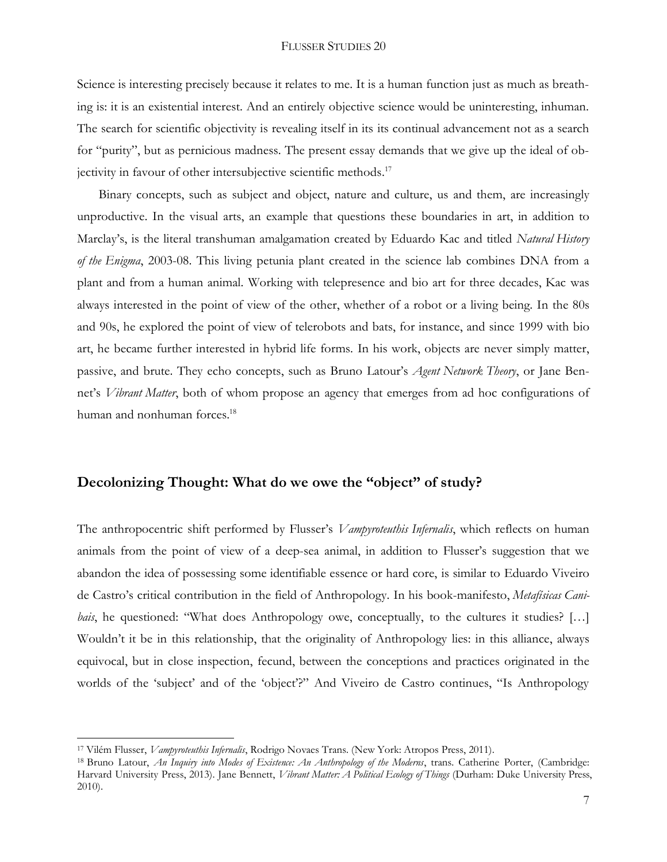#### FLUSSER STUDIES 20

Science is interesting precisely because it relates to me. It is a human function just as much as breathing is: it is an existential interest. And an entirely objective science would be uninteresting, inhuman. The search for scientific objectivity is revealing itself in its its continual advancement not as a search for "purity", but as pernicious madness. The present essay demands that we give up the ideal of objectivity in favour of other intersubjective scientific methods.<sup>17</sup>

Binary concepts, such as subject and object, nature and culture, us and them, are increasingly unproductive. In the visual arts, an example that questions these boundaries in art, in addition to Marclay's, is the literal transhuman amalgamation created by Eduardo Kac and titled *Natural History of the Enigma*, 2003-08. This living petunia plant created in the science lab combines DNA from a plant and from a human animal. Working with telepresence and bio art for three decades, Kac was always interested in the point of view of the other, whether of a robot or a living being. In the 80s and 90s, he explored the point of view of telerobots and bats, for instance, and since 1999 with bio art, he became further interested in hybrid life forms. In his work, objects are never simply matter, passive, and brute. They echo concepts, such as Bruno Latour's *Agent Network Theory*, or Jane Bennet's *Vibrant Matter*, both of whom propose an agency that emerges from ad hoc configurations of human and nonhuman forces. 18

### **Decolonizing Thought: What do we owe the "object" of study?**

The anthropocentric shift performed by Flusser's *Vampyroteuthis Infernalis*, which reflects on human animals from the point of view of a deep-sea animal, in addition to Flusser's suggestion that we abandon the idea of possessing some identifiable essence or hard core, is similar to Eduardo Viveiro de Castro's critical contribution in the field of Anthropology. In his book-manifesto, *Metafísicas Canibais*, he questioned: "What does Anthropology owe, conceptually, to the cultures it studies? [...] Wouldn't it be in this relationship, that the originality of Anthropology lies: in this alliance, always equivocal, but in close inspection, fecund, between the conceptions and practices originated in the worlds of the 'subject' and of the 'object'?" And Viveiro de Castro continues, "Is Anthropology

<sup>17</sup> Vilém Flusser, *Vampyroteuthis Infernalis*, Rodrigo Novaes Trans. (New York: Atropos Press, 2011).

<sup>18</sup> Bruno Latour, *An Inquiry into Modes of Existence: An Anthropology of the Moderns*, trans. Catherine Porter, (Cambridge: Harvard University Press, 2013). Jane Bennett, *Vibrant Matter: A Political Ecology of Things* (Durham: Duke University Press, 2010).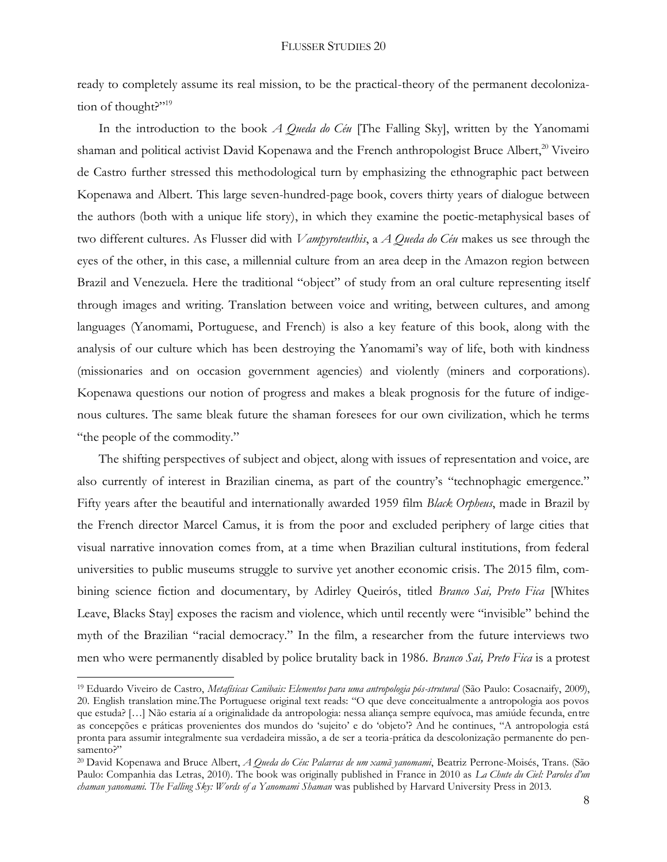ready to completely assume its real mission, to be the practical-theory of the permanent decolonization of thought?"<sup>19</sup>

In the introduction to the book *A Queda do Céu* [The Falling Sky], written by the Yanomami shaman and political activist David Kopenawa and the French anthropologist Bruce Albert,<sup>20</sup> Viveiro de Castro further stressed this methodological turn by emphasizing the ethnographic pact between Kopenawa and Albert. This large seven-hundred-page book, covers thirty years of dialogue between the authors (both with a unique life story), in which they examine the poetic-metaphysical bases of two different cultures. As Flusser did with *Vampyroteuthis*, a *A Queda do Céu* makes us see through the eyes of the other, in this case, a millennial culture from an area deep in the Amazon region between Brazil and Venezuela. Here the traditional "object" of study from an oral culture representing itself through images and writing. Translation between voice and writing, between cultures, and among languages (Yanomami, Portuguese, and French) is also a key feature of this book, along with the analysis of our culture which has been destroying the Yanomami's way of life, both with kindness (missionaries and on occasion government agencies) and violently (miners and corporations). Kopenawa questions our notion of progress and makes a bleak prognosis for the future of indigenous cultures. The same bleak future the shaman foresees for our own civilization, which he terms "the people of the commodity."

The shifting perspectives of subject and object, along with issues of representation and voice, are also currently of interest in Brazilian cinema, as part of the country's "technophagic emergence." Fifty years after the beautiful and internationally awarded 1959 film *Black Orpheus*, made in Brazil by the French director Marcel Camus, it is from the poor and excluded periphery of large cities that visual narrative innovation comes from, at a time when Brazilian cultural institutions, from federal universities to public museums struggle to survive yet another economic crisis. The 2015 film, combining science fiction and documentary, by Adirley Queirós, titled *Branco Sai, Preto Fica* [Whites Leave, Blacks Stay] exposes the racism and violence, which until recently were "invisible" behind the myth of the Brazilian "racial democracy." In the film, a researcher from the future interviews two men who were permanently disabled by police brutality back in 1986. *Branco Sai, Preto Fica* is a protest

 $\overline{a}$ 

<sup>19</sup> Eduardo Viveiro de Castro, *Metafísicas Canibais: Elementos para uma antropologia pós-strutural* (São Paulo: Cosacnaify, 2009), 20. English translation mine.The Portuguese original text reads: "O que deve conceitualmente a antropologia aos povos que estuda? […] Não estaria aí a originalidade da antropologia: nessa aliança sempre equívoca, mas amiúde fecunda, entre as concepções e práticas provenientes dos mundos do 'sujeito' e do 'objeto'? And he continues, "A antropologia está pronta para assumir integralmente sua verdadeira missão, a de ser a teoria-prática da descolonização permanente do pensamento?"

<sup>20</sup> David Kopenawa and Bruce Albert, *A Queda do Céu: Palavras de um xamã yanomami*, Beatriz Perrone-Moisés, Trans. (São Paulo: Companhia das Letras, 2010). The book was originally published in France in 2010 as *La Chute du Ciel: Paroles d'un chaman yanomami. The Falling Sky: Words of a Yanomami Shaman* was published by Harvard University Press in 2013.